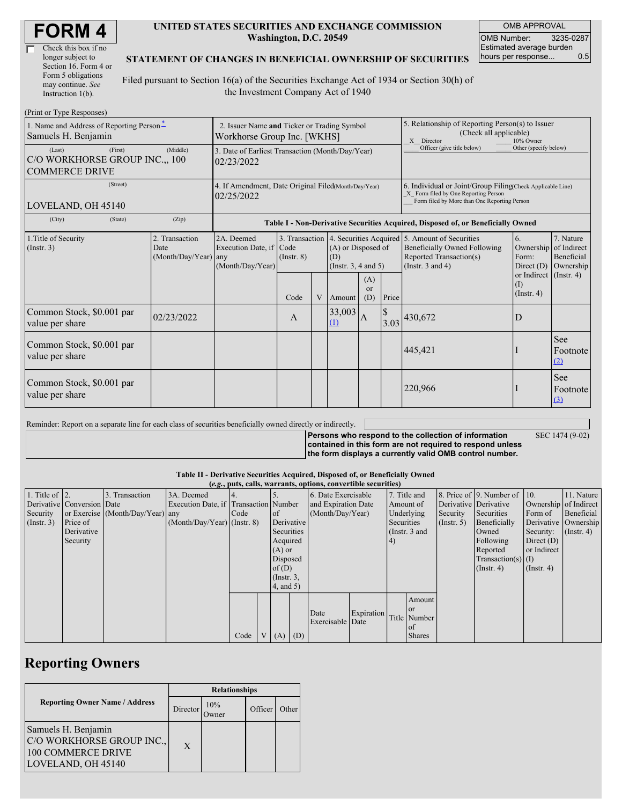| Check this box if no  |
|-----------------------|
| longer subject to     |
| Section 16. Form 4 or |
| Form 5 obligations    |
| may continue. See     |
| Instruction 1(b).     |

 $(D_{\text{rint}} \text{ or } \text{T}$ yne  $D_{\ell}$ 

#### **UNITED STATES SECURITIES AND EXCHANGE COMMISSION Washington, D.C. 20549**

OMB APPROVAL OMB Number: 3235-0287 Estimated average burden hours per response... 0.5

### **STATEMENT OF CHANGES IN BENEFICIAL OWNERSHIP OF SECURITIES**

Filed pursuant to Section 16(a) of the Securities Exchange Act of 1934 or Section 30(h) of the Investment Company Act of 1940

| $1 \text{ min}$ or $1 \text{ ypc}$ responses)<br>1. Name and Address of Reporting Person-<br>Samuels H. Benjamin | 2. Issuer Name and Ticker or Trading Symbol<br>Workhorse Group Inc. [WKHS] |                                                                                  |                                   |   |                                                         |                  | 5. Relationship of Reporting Person(s) to Issuer<br>(Check all applicable)<br>X Director<br>10% Owner                                              |                                                                                                                                    |                                              |                                                     |
|------------------------------------------------------------------------------------------------------------------|----------------------------------------------------------------------------|----------------------------------------------------------------------------------|-----------------------------------|---|---------------------------------------------------------|------------------|----------------------------------------------------------------------------------------------------------------------------------------------------|------------------------------------------------------------------------------------------------------------------------------------|----------------------------------------------|-----------------------------------------------------|
| (Last)<br>(First)<br>C/O WORKHORSE GROUP INC., 100<br><b>COMMERCE DRIVE</b>                                      | 3. Date of Earliest Transaction (Month/Day/Year)<br>02/23/2022             |                                                                                  |                                   |   |                                                         |                  | Officer (give title below)                                                                                                                         | Other (specify below)                                                                                                              |                                              |                                                     |
| (Street)<br>LOVELAND, OH 45140                                                                                   | 4. If Amendment, Date Original Filed(Month/Day/Year)<br>02/25/2022         |                                                                                  |                                   |   |                                                         |                  | 6. Individual or Joint/Group Filing(Check Applicable Line)<br>X Form filed by One Reporting Person<br>Form filed by More than One Reporting Person |                                                                                                                                    |                                              |                                                     |
| (City)<br>(State)                                                                                                | (Zip)                                                                      | Table I - Non-Derivative Securities Acquired, Disposed of, or Beneficially Owned |                                   |   |                                                         |                  |                                                                                                                                                    |                                                                                                                                    |                                              |                                                     |
| 1. Title of Security<br>(Insert. 3)                                                                              | 2. Transaction<br>Date<br>(Month/Day/Year) any                             | 2A. Deemed<br>Execution Date, if Code<br>(Month/Day/Year)                        | 3. Transaction<br>$($ Instr. $8)$ |   | $(A)$ or Disposed of<br>(D)<br>(Instr. $3, 4$ and $5$ ) |                  |                                                                                                                                                    | 4. Securities Acquired 5. Amount of Securities<br>Beneficially Owned Following<br>Reported Transaction(s)<br>(Instr. $3$ and $4$ ) | 6.<br>Ownership<br>Form:<br>Direct $(D)$     | 7. Nature<br>of Indirect<br>Beneficial<br>Ownership |
|                                                                                                                  |                                                                            |                                                                                  | Code                              | V | Amount                                                  | (A)<br>or<br>(D) | Price                                                                                                                                              |                                                                                                                                    | or Indirect (Instr. 4)<br>(1)<br>(Insert, 4) |                                                     |
| Common Stock, \$0.001 par<br>value per share                                                                     | 02/23/2022                                                                 |                                                                                  | A                                 |   | 33,003<br>$\Omega$                                      | $\mathbf{A}$     | $\mathcal{S}$                                                                                                                                      | $3.03$ <sup>430,672</sup>                                                                                                          | D                                            |                                                     |
| Common Stock, \$0.001 par<br>value per share                                                                     |                                                                            |                                                                                  |                                   |   |                                                         |                  |                                                                                                                                                    | 445,421                                                                                                                            |                                              | <b>See</b><br>Footnote<br>(2)                       |
| Common Stock, \$0.001 par<br>value per share                                                                     |                                                                            |                                                                                  |                                   |   |                                                         |                  |                                                                                                                                                    | 220,966                                                                                                                            |                                              | <b>See</b><br>Footnote<br>$\left(3\right)$          |

Reminder: Report on a separate line for each class of securities beneficially owned directly or indirectly.

SEC 1474 (9-02)

**Persons who respond to the collection of information contained in this form are not required to respond unless the form displays a currently valid OMB control number.**

**Table II - Derivative Securities Acquired, Disposed of, or Beneficially Owned**

|                        | (e.g., puts, calls, warrants, options, convertible securities) |                                  |                                       |      |             |                  |                     |                     |            |     |               |                      |                              |                       |               |                  |                       |           |                      |
|------------------------|----------------------------------------------------------------|----------------------------------|---------------------------------------|------|-------------|------------------|---------------------|---------------------|------------|-----|---------------|----------------------|------------------------------|-----------------------|---------------|------------------|-----------------------|-----------|----------------------|
| 1. Title of $\vert$ 2. |                                                                | 3. Transaction                   | 3A. Deemed                            |      |             |                  |                     | 6. Date Exercisable |            |     | 7. Title and  |                      | 8. Price of 9. Number of 10. |                       | 11. Nature    |                  |                       |           |                      |
|                        | Derivative Conversion Date                                     |                                  | Execution Date, if Transaction Number |      |             |                  | and Expiration Date |                     |            |     |               |                      | Amount of                    | Derivative Derivative |               |                  | Ownership of Indirect |           |                      |
| Security               |                                                                | or Exercise (Month/Day/Year) any |                                       | Code |             | <sub>of</sub>    |                     | (Month/Day/Year)    |            |     |               |                      |                              |                       | Underlying    | Security         | Securities            | Form of   | Beneficial           |
| $($ Instr. 3 $)$       | Price of                                                       |                                  | $(Month/Day/Year)$ (Instr. 8)         |      |             | Derivative       |                     |                     |            |     |               |                      |                              | Securities            |               | $($ Instr. 5 $)$ | Beneficially          |           | Derivative Ownership |
|                        | Derivative                                                     |                                  |                                       |      |             | Securities       |                     |                     |            |     |               |                      |                              |                       | (Instr. 3 and |                  | Owned                 | Security: | $($ Instr. 4)        |
|                        | Security                                                       |                                  |                                       |      |             | Acquired         |                     |                     |            | (4) |               |                      | Following                    | Direct $(D)$          |               |                  |                       |           |                      |
|                        |                                                                |                                  |                                       |      |             | $(A)$ or         |                     |                     |            |     |               | Reported             | or Indirect                  |                       |               |                  |                       |           |                      |
|                        |                                                                |                                  |                                       |      |             |                  | Disposed            |                     |            |     |               | Transaction(s) $(I)$ |                              |                       |               |                  |                       |           |                      |
|                        |                                                                |                                  |                                       |      |             | of(D)            |                     |                     |            |     |               |                      | $($ Instr. 4 $)$             | $($ Instr. 4 $)$      |               |                  |                       |           |                      |
|                        |                                                                |                                  |                                       |      |             | $($ Instr. $3$ , |                     |                     |            |     |               |                      |                              |                       |               |                  |                       |           |                      |
|                        |                                                                |                                  |                                       |      |             | $4$ , and $5$ )  |                     |                     |            |     |               |                      |                              |                       |               |                  |                       |           |                      |
|                        |                                                                |                                  |                                       |      |             |                  |                     |                     |            |     | Amount        |                      |                              |                       |               |                  |                       |           |                      |
|                        |                                                                |                                  |                                       |      |             |                  |                     | Date                | Expiration |     | <sub>or</sub> |                      |                              |                       |               |                  |                       |           |                      |
|                        |                                                                |                                  |                                       |      |             |                  |                     | Exercisable Date    |            |     | Title Number  |                      |                              |                       |               |                  |                       |           |                      |
|                        |                                                                |                                  |                                       |      |             |                  |                     |                     |            |     | of            |                      |                              |                       |               |                  |                       |           |                      |
|                        |                                                                |                                  |                                       | Code | $V_{\perp}$ | $(A)$ $(D)$      |                     |                     |            |     | <b>Shares</b> |                      |                              |                       |               |                  |                       |           |                      |

## **Reporting Owners**

|                                                                                              | <b>Relationships</b> |              |         |       |  |  |  |  |
|----------------------------------------------------------------------------------------------|----------------------|--------------|---------|-------|--|--|--|--|
| <b>Reporting Owner Name / Address</b>                                                        | Director             | 10%<br>)wner | Officer | Other |  |  |  |  |
| Samuels H. Benjamin<br>C/O WORKHORSE GROUP INC.,<br>100 COMMERCE DRIVE<br>LOVELAND, OH 45140 | X                    |              |         |       |  |  |  |  |